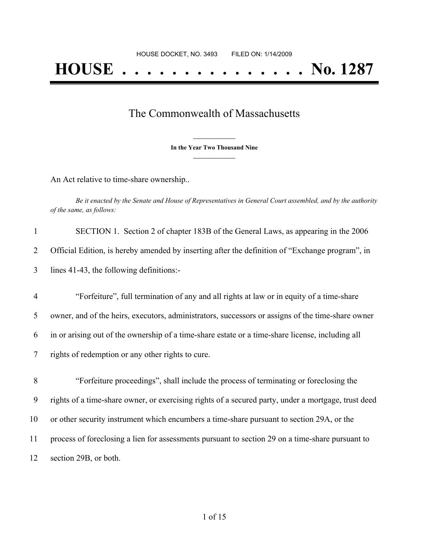## The Commonwealth of Massachusetts

**\_\_\_\_\_\_\_\_\_\_\_\_\_\_\_ In the Year Two Thousand Nine \_\_\_\_\_\_\_\_\_\_\_\_\_\_\_**

An Act relative to time-share ownership..

Be it enacted by the Senate and House of Representatives in General Court assembled, and by the authority *of the same, as follows:*

| SECTION 1. Section 2 of chapter 183B of the General Laws, as appearing in the 2006              |
|-------------------------------------------------------------------------------------------------|
| Official Edition, is hereby amended by inserting after the definition of "Exchange program", in |
| lines 41-43, the following definitions:-                                                        |

 "Forfeiture", full termination of any and all rights at law or in equity of a time-share owner, and of the heirs, executors, administrators, successors or assigns of the time-share owner in or arising out of the ownership of a time-share estate or a time-share license, including all rights of redemption or any other rights to cure.

 "Forfeiture proceedings", shall include the process of terminating or foreclosing the rights of a time-share owner, or exercising rights of a secured party, under a mortgage, trust deed or other security instrument which encumbers a time-share pursuant to section 29A, or the process of foreclosing a lien for assessments pursuant to section 29 on a time-share pursuant to section 29B, or both.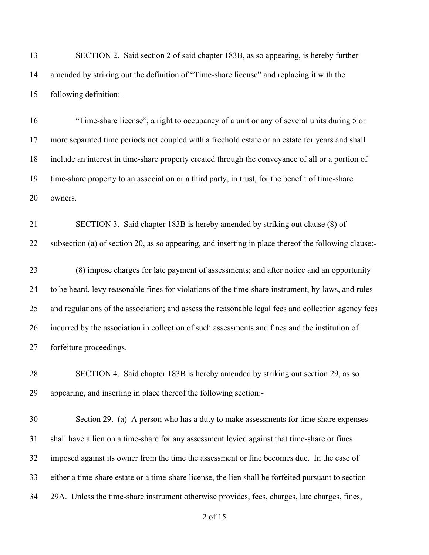SECTION 2. Said section 2 of said chapter 183B, as so appearing, is hereby further amended by striking out the definition of "Time-share license" and replacing it with the following definition:-

 "Time-share license", a right to occupancy of a unit or any of several units during 5 or more separated time periods not coupled with a freehold estate or an estate for years and shall include an interest in time-share property created through the conveyance of all or a portion of time-share property to an association or a third party, in trust, for the benefit of time-share owners.

 SECTION 3. Said chapter 183B is hereby amended by striking out clause (8) of subsection (a) of section 20, as so appearing, and inserting in place thereof the following clause:-

 (8) impose charges for late payment of assessments; and after notice and an opportunity to be heard, levy reasonable fines for violations of the time-share instrument, by-laws, and rules and regulations of the association; and assess the reasonable legal fees and collection agency fees incurred by the association in collection of such assessments and fines and the institution of forfeiture proceedings.

 SECTION 4. Said chapter 183B is hereby amended by striking out section 29, as so appearing, and inserting in place thereof the following section:-

 Section 29. (a) A person who has a duty to make assessments for time-share expenses shall have a lien on a time-share for any assessment levied against that time-share or fines imposed against its owner from the time the assessment or fine becomes due. In the case of either a time-share estate or a time-share license, the lien shall be forfeited pursuant to section 29A. Unless the time-share instrument otherwise provides, fees, charges, late charges, fines,

of 15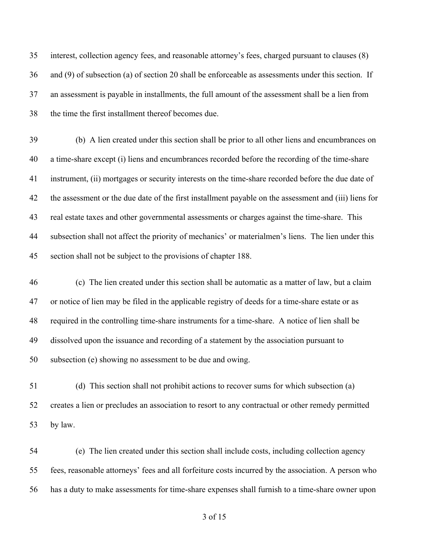interest, collection agency fees, and reasonable attorney's fees, charged pursuant to clauses (8) and (9) of subsection (a) of section 20 shall be enforceable as assessments under this section. If an assessment is payable in installments, the full amount of the assessment shall be a lien from the time the first installment thereof becomes due.

 (b) A lien created under this section shall be prior to all other liens and encumbrances on a time-share except (i) liens and encumbrances recorded before the recording of the time-share instrument, (ii) mortgages or security interests on the time-share recorded before the due date of the assessment or the due date of the first installment payable on the assessment and (iii) liens for real estate taxes and other governmental assessments or charges against the time-share. This subsection shall not affect the priority of mechanics' or materialmen's liens. The lien under this section shall not be subject to the provisions of chapter 188.

 (c) The lien created under this section shall be automatic as a matter of law, but a claim or notice of lien may be filed in the applicable registry of deeds for a time-share estate or as required in the controlling time-share instruments for a time-share. A notice of lien shall be dissolved upon the issuance and recording of a statement by the association pursuant to subsection (e) showing no assessment to be due and owing.

 (d) This section shall not prohibit actions to recover sums for which subsection (a) creates a lien or precludes an association to resort to any contractual or other remedy permitted by law.

 (e) The lien created under this section shall include costs, including collection agency fees, reasonable attorneys' fees and all forfeiture costs incurred by the association. A person who has a duty to make assessments for time-share expenses shall furnish to a time-share owner upon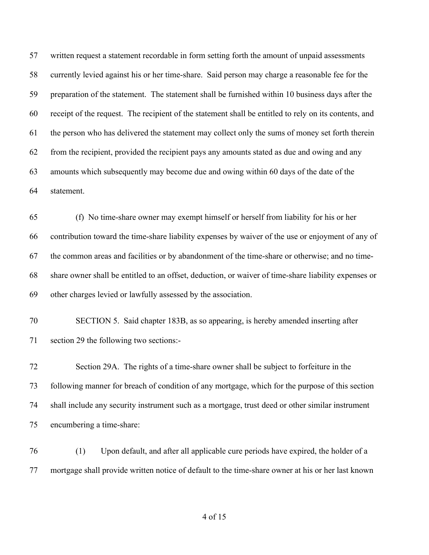written request a statement recordable in form setting forth the amount of unpaid assessments currently levied against his or her time-share. Said person may charge a reasonable fee for the preparation of the statement. The statement shall be furnished within 10 business days after the receipt of the request. The recipient of the statement shall be entitled to rely on its contents, and the person who has delivered the statement may collect only the sums of money set forth therein from the recipient, provided the recipient pays any amounts stated as due and owing and any amounts which subsequently may become due and owing within 60 days of the date of the statement.

 (f) No time-share owner may exempt himself or herself from liability for his or her contribution toward the time-share liability expenses by waiver of the use or enjoyment of any of the common areas and facilities or by abandonment of the time-share or otherwise; and no time- share owner shall be entitled to an offset, deduction, or waiver of time-share liability expenses or other charges levied or lawfully assessed by the association.

 SECTION 5. Said chapter 183B, as so appearing, is hereby amended inserting after section 29 the following two sections:-

 Section 29A. The rights of a time-share owner shall be subject to forfeiture in the following manner for breach of condition of any mortgage, which for the purpose of this section shall include any security instrument such as a mortgage, trust deed or other similar instrument encumbering a time-share:

 (1) Upon default, and after all applicable cure periods have expired, the holder of a mortgage shall provide written notice of default to the time-share owner at his or her last known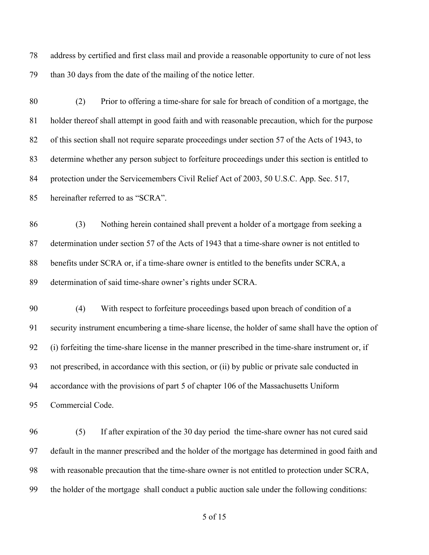address by certified and first class mail and provide a reasonable opportunity to cure of not less than 30 days from the date of the mailing of the notice letter.

 (2) Prior to offering a time-share for sale for breach of condition of a mortgage, the holder thereof shall attempt in good faith and with reasonable precaution, which for the purpose of this section shall not require separate proceedings under section 57 of the Acts of 1943, to determine whether any person subject to forfeiture proceedings under this section is entitled to protection under the Servicemembers Civil Relief Act of 2003, 50 U.S.C. App. Sec. 517, hereinafter referred to as "SCRA".

 (3) Nothing herein contained shall prevent a holder of a mortgage from seeking a determination under section 57 of the Acts of 1943 that a time-share owner is not entitled to benefits under SCRA or, if a time-share owner is entitled to the benefits under SCRA, a determination of said time-share owner's rights under SCRA.

 (4) With respect to forfeiture proceedings based upon breach of condition of a security instrument encumbering a time-share license, the holder of same shall have the option of (i) forfeiting the time-share license in the manner prescribed in the time-share instrument or, if not prescribed, in accordance with this section, or (ii) by public or private sale conducted in accordance with the provisions of part 5 of chapter 106 of the Massachusetts Uniform Commercial Code.

 (5) If after expiration of the 30 day period the time-share owner has not cured said default in the manner prescribed and the holder of the mortgage has determined in good faith and with reasonable precaution that the time-share owner is not entitled to protection under SCRA, the holder of the mortgage shall conduct a public auction sale under the following conditions: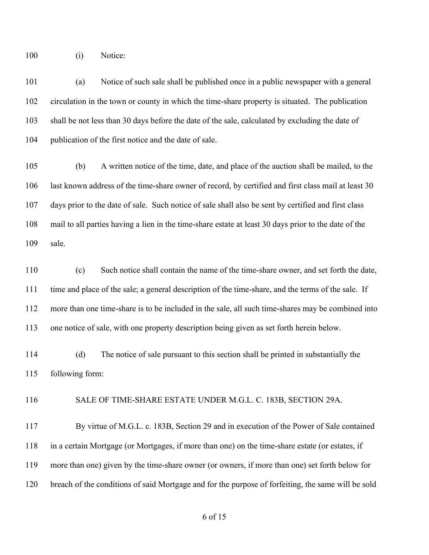100 (i) Notice:

 (a) Notice of such sale shall be published once in a public newspaper with a general circulation in the town or county in which the time-share property is situated. The publication shall be not less than 30 days before the date of the sale, calculated by excluding the date of publication of the first notice and the date of sale.

 (b) A written notice of the time, date, and place of the auction shall be mailed, to the last known address of the time-share owner of record, by certified and first class mail at least 30 days prior to the date of sale. Such notice of sale shall also be sent by certified and first class mail to all parties having a lien in the time-share estate at least 30 days prior to the date of the sale.

 (c) Such notice shall contain the name of the time-share owner, and set forth the date, time and place of the sale; a general description of the time-share, and the terms of the sale. If more than one time-share is to be included in the sale, all such time-shares may be combined into one notice of sale, with one property description being given as set forth herein below.

 (d) The notice of sale pursuant to this section shall be printed in substantially the following form:

SALE OF TIME-SHARE ESTATE UNDER M.G.L. C. 183B, SECTION 29A.

 By virtue of M.G.L. c. 183B, Section 29 and in execution of the Power of Sale contained in a certain Mortgage (or Mortgages, if more than one) on the time-share estate (or estates, if more than one) given by the time-share owner (or owners, if more than one) set forth below for breach of the conditions of said Mortgage and for the purpose of forfeiting, the same will be sold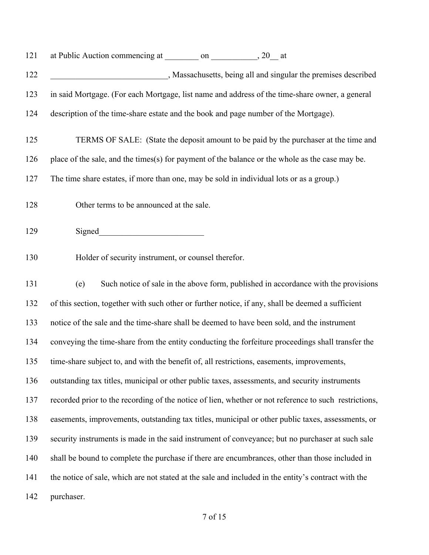| 121 | at Public Auction commencing at |  |  |
|-----|---------------------------------|--|--|
|     |                                 |  |  |

**A. Massachusetts, being all and singular the premises described**  in said Mortgage. (For each Mortgage, list name and address of the time-share owner, a general description of the time-share estate and the book and page number of the Mortgage).

TERMS OF SALE: (State the deposit amount to be paid by the purchaser at the time and

place of the sale, and the times(s) for payment of the balance or the whole as the case may be.

The time share estates, if more than one, may be sold in individual lots or as a group.)

128 Other terms to be announced at the sale.

129 Signed

Holder of security instrument, or counsel therefor.

 (e) Such notice of sale in the above form, published in accordance with the provisions of this section, together with such other or further notice, if any, shall be deemed a sufficient notice of the sale and the time-share shall be deemed to have been sold, and the instrument conveying the time-share from the entity conducting the forfeiture proceedings shall transfer the time-share subject to, and with the benefit of, all restrictions, easements, improvements, outstanding tax titles, municipal or other public taxes, assessments, and security instruments recorded prior to the recording of the notice of lien, whether or not reference to such restrictions, easements, improvements, outstanding tax titles, municipal or other public taxes, assessments, or security instruments is made in the said instrument of conveyance; but no purchaser at such sale 140 shall be bound to complete the purchase if there are encumbrances, other than those included in the notice of sale, which are not stated at the sale and included in the entity's contract with the purchaser.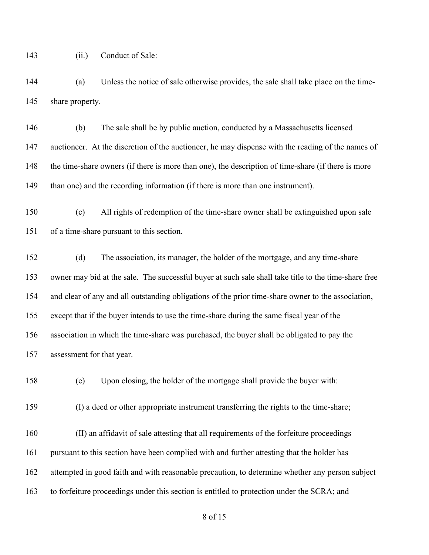(ii.) Conduct of Sale:

 (a) Unless the notice of sale otherwise provides, the sale shall take place on the time-share property.

 (b) The sale shall be by public auction, conducted by a Massachusetts licensed auctioneer. At the discretion of the auctioneer, he may dispense with the reading of the names of the time-share owners (if there is more than one), the description of time-share (if there is more than one) and the recording information (if there is more than one instrument).

 (c) All rights of redemption of the time-share owner shall be extinguished upon sale of a time-share pursuant to this section.

 (d) The association, its manager, the holder of the mortgage, and any time-share owner may bid at the sale. The successful buyer at such sale shall take title to the time-share free and clear of any and all outstanding obligations of the prior time-share owner to the association, except that if the buyer intends to use the time-share during the same fiscal year of the association in which the time-share was purchased, the buyer shall be obligated to pay the assessment for that year.

(e) Upon closing, the holder of the mortgage shall provide the buyer with:

(I) a deed or other appropriate instrument transferring the rights to the time-share;

 (II) an affidavit of sale attesting that all requirements of the forfeiture proceedings pursuant to this section have been complied with and further attesting that the holder has attempted in good faith and with reasonable precaution, to determine whether any person subject to forfeiture proceedings under this section is entitled to protection under the SCRA; and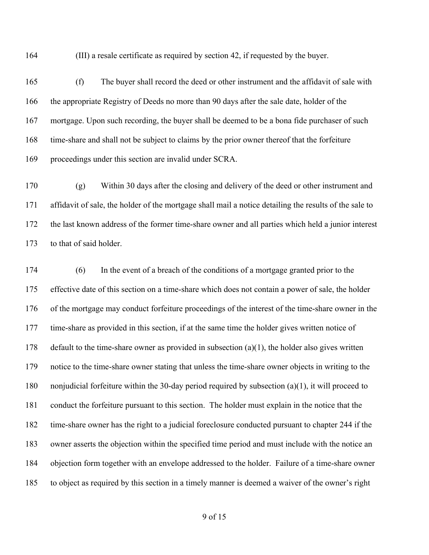(III) a resale certificate as required by section 42, if requested by the buyer.

 (f) The buyer shall record the deed or other instrument and the affidavit of sale with the appropriate Registry of Deeds no more than 90 days after the sale date, holder of the mortgage. Upon such recording, the buyer shall be deemed to be a bona fide purchaser of such time-share and shall not be subject to claims by the prior owner thereof that the forfeiture proceedings under this section are invalid under SCRA.

 (g) Within 30 days after the closing and delivery of the deed or other instrument and affidavit of sale, the holder of the mortgage shall mail a notice detailing the results of the sale to the last known address of the former time-share owner and all parties which held a junior interest to that of said holder.

 (6) In the event of a breach of the conditions of a mortgage granted prior to the effective date of this section on a time-share which does not contain a power of sale, the holder of the mortgage may conduct forfeiture proceedings of the interest of the time-share owner in the time-share as provided in this section, if at the same time the holder gives written notice of 178 default to the time-share owner as provided in subsection  $(a)(1)$ , the holder also gives written notice to the time-share owner stating that unless the time-share owner objects in writing to the nonjudicial forfeiture within the 30-day period required by subsection (a)(1), it will proceed to conduct the forfeiture pursuant to this section. The holder must explain in the notice that the time-share owner has the right to a judicial foreclosure conducted pursuant to chapter 244 if the owner asserts the objection within the specified time period and must include with the notice an objection form together with an envelope addressed to the holder. Failure of a time-share owner to object as required by this section in a timely manner is deemed a waiver of the owner's right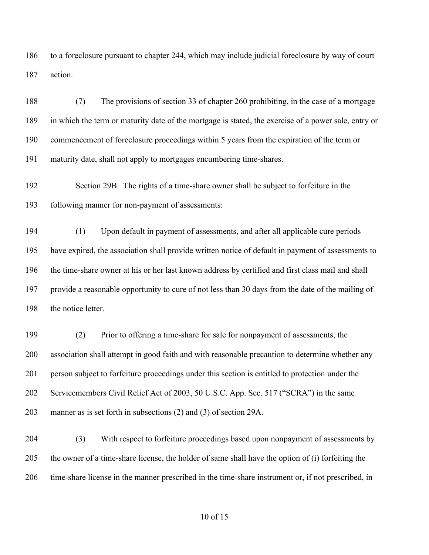to a foreclosure pursuant to chapter 244, which may include judicial foreclosure by way of court action.

 (7) The provisions of section 33 of chapter 260 prohibiting, in the case of a mortgage in which the term or maturity date of the mortgage is stated, the exercise of a power sale, entry or commencement of foreclosure proceedings within 5 years from the expiration of the term or maturity date, shall not apply to mortgages encumbering time-shares.

 Section 29B. The rights of a time-share owner shall be subject to forfeiture in the following manner for non-payment of assessments:

 (1) Upon default in payment of assessments, and after all applicable cure periods have expired, the association shall provide written notice of default in payment of assessments to the time-share owner at his or her last known address by certified and first class mail and shall provide a reasonable opportunity to cure of not less than 30 days from the date of the mailing of 198 the notice letter.

 (2) Prior to offering a time-share for sale for nonpayment of assessments, the association shall attempt in good faith and with reasonable precaution to determine whether any 201 person subject to forfeiture proceedings under this section is entitled to protection under the Servicemembers Civil Relief Act of 2003, 50 U.S.C. App. Sec. 517 ("SCRA") in the same manner as is set forth in subsections (2) and (3) of section 29A.

 (3) With respect to forfeiture proceedings based upon nonpayment of assessments by the owner of a time-share license, the holder of same shall have the option of (i) forfeiting the time-share license in the manner prescribed in the time-share instrument or, if not prescribed, in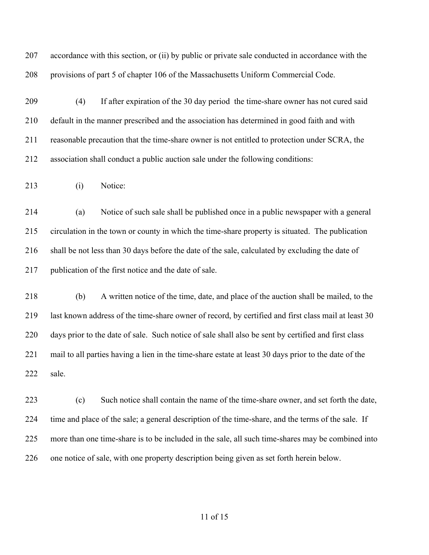accordance with this section, or (ii) by public or private sale conducted in accordance with the provisions of part 5 of chapter 106 of the Massachusetts Uniform Commercial Code.

 (4) If after expiration of the 30 day period the time-share owner has not cured said default in the manner prescribed and the association has determined in good faith and with reasonable precaution that the time-share owner is not entitled to protection under SCRA, the association shall conduct a public auction sale under the following conditions:

(i) Notice:

 (a) Notice of such sale shall be published once in a public newspaper with a general circulation in the town or county in which the time-share property is situated. The publication shall be not less than 30 days before the date of the sale, calculated by excluding the date of publication of the first notice and the date of sale.

 (b) A written notice of the time, date, and place of the auction shall be mailed, to the last known address of the time-share owner of record, by certified and first class mail at least 30 days prior to the date of sale. Such notice of sale shall also be sent by certified and first class mail to all parties having a lien in the time-share estate at least 30 days prior to the date of the sale.

 (c) Such notice shall contain the name of the time-share owner, and set forth the date, time and place of the sale; a general description of the time-share, and the terms of the sale. If more than one time-share is to be included in the sale, all such time-shares may be combined into one notice of sale, with one property description being given as set forth herein below.

## of 15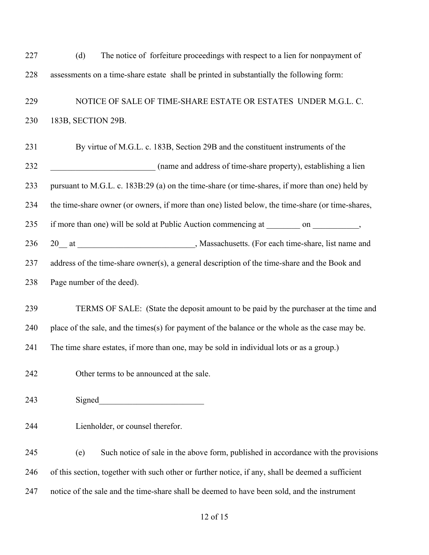| 227 | (d)<br>The notice of forfeiture proceedings with respect to a lien for nonpayment of              |
|-----|---------------------------------------------------------------------------------------------------|
| 228 | assessments on a time-share estate shall be printed in substantially the following form:          |
| 229 | NOTICE OF SALE OF TIME-SHARE ESTATE OR ESTATES UNDER M.G.L. C.                                    |
| 230 | 183B, SECTION 29B.                                                                                |
| 231 | By virtue of M.G.L. c. 183B, Section 29B and the constituent instruments of the                   |
| 232 | (name and address of time-share property), establishing a lien                                    |
| 233 | pursuant to M.G.L. c. 183B:29 (a) on the time-share (or time-shares, if more than one) held by    |
| 234 | the time-share owner (or owners, if more than one) listed below, the time-share (or time-shares,  |
| 235 | if more than one) will be sold at Public Auction commencing at _________ on ___________,          |
| 236 |                                                                                                   |
| 237 | address of the time-share owner(s), a general description of the time-share and the Book and      |
| 238 | Page number of the deed).                                                                         |
| 239 | TERMS OF SALE: (State the deposit amount to be paid by the purchaser at the time and              |
| 240 | place of the sale, and the times(s) for payment of the balance or the whole as the case may be.   |
| 241 | The time share estates, if more than one, may be sold in individual lots or as a group.)          |
| 242 | Other terms to be announced at the sale.                                                          |
| 243 | Signed<br><u> 1989 - Johann Barbara, martxa alemani</u> ar alemania                               |
| 244 | Lienholder, or counsel therefor.                                                                  |
| 245 | Such notice of sale in the above form, published in accordance with the provisions<br>(e)         |
| 246 | of this section, together with such other or further notice, if any, shall be deemed a sufficient |
| 247 | notice of the sale and the time-share shall be deemed to have been sold, and the instrument       |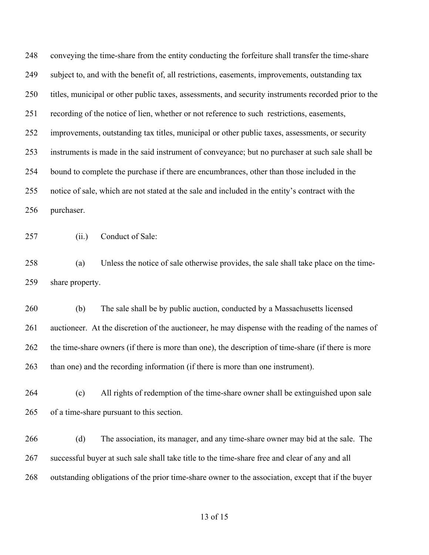conveying the time-share from the entity conducting the forfeiture shall transfer the time-share subject to, and with the benefit of, all restrictions, easements, improvements, outstanding tax titles, municipal or other public taxes, assessments, and security instruments recorded prior to the recording of the notice of lien, whether or not reference to such restrictions, easements, improvements, outstanding tax titles, municipal or other public taxes, assessments, or security instruments is made in the said instrument of conveyance; but no purchaser at such sale shall be bound to complete the purchase if there are encumbrances, other than those included in the notice of sale, which are not stated at the sale and included in the entity's contract with the purchaser.

(ii.) Conduct of Sale:

 (a) Unless the notice of sale otherwise provides, the sale shall take place on the time-share property.

 (b) The sale shall be by public auction, conducted by a Massachusetts licensed auctioneer. At the discretion of the auctioneer, he may dispense with the reading of the names of the time-share owners (if there is more than one), the description of time-share (if there is more than one) and the recording information (if there is more than one instrument).

 (c) All rights of redemption of the time-share owner shall be extinguished upon sale of a time-share pursuant to this section.

 (d) The association, its manager, and any time-share owner may bid at the sale. The successful buyer at such sale shall take title to the time-share free and clear of any and all outstanding obligations of the prior time-share owner to the association, except that if the buyer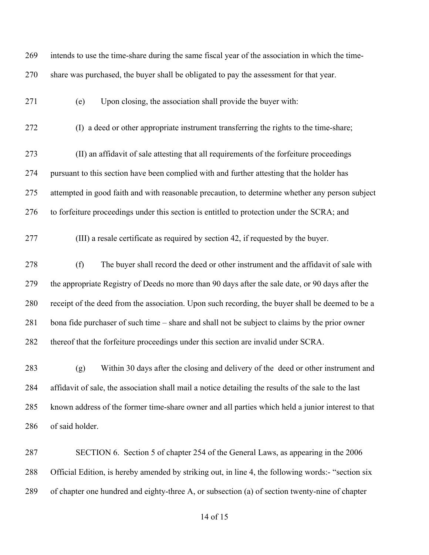| 269 | intends to use the time-share during the same fiscal year of the association in which the time-      |
|-----|------------------------------------------------------------------------------------------------------|
| 270 | share was purchased, the buyer shall be obligated to pay the assessment for that year.               |
| 271 | Upon closing, the association shall provide the buyer with:<br>(e)                                   |
| 272 | (I) a deed or other appropriate instrument transferring the rights to the time-share;                |
| 273 | (II) an affidavit of sale attesting that all requirements of the forfeiture proceedings              |
| 274 | pursuant to this section have been complied with and further attesting that the holder has           |
| 275 | attempted in good faith and with reasonable precaution, to determine whether any person subject      |
| 276 | to forfeiture proceedings under this section is entitled to protection under the SCRA; and           |
| 277 | (III) a resale certificate as required by section 42, if requested by the buyer.                     |
| 278 | (f)<br>The buyer shall record the deed or other instrument and the affidavit of sale with            |
| 279 | the appropriate Registry of Deeds no more than 90 days after the sale date, or 90 days after the     |
| 280 | receipt of the deed from the association. Upon such recording, the buyer shall be deemed to be a     |
| 281 | bona fide purchaser of such time – share and shall not be subject to claims by the prior owner       |
| 282 | thereof that the forfeiture proceedings under this section are invalid under SCRA.                   |
| 283 | Within 30 days after the closing and delivery of the deed or other instrument and<br>(g)             |
| 284 | affidavit of sale, the association shall mail a notice detailing the results of the sale to the last |
| 285 | known address of the former time-share owner and all parties which held a junior interest to that    |
| 286 | of said holder.                                                                                      |
| 287 | SECTION 6. Section 5 of chapter 254 of the General Laws, as appearing in the 2006                    |
| 288 | Official Edition, is hereby amended by striking out, in line 4, the following words:- "section six   |

of chapter one hundred and eighty-three A, or subsection (a) of section twenty-nine of chapter